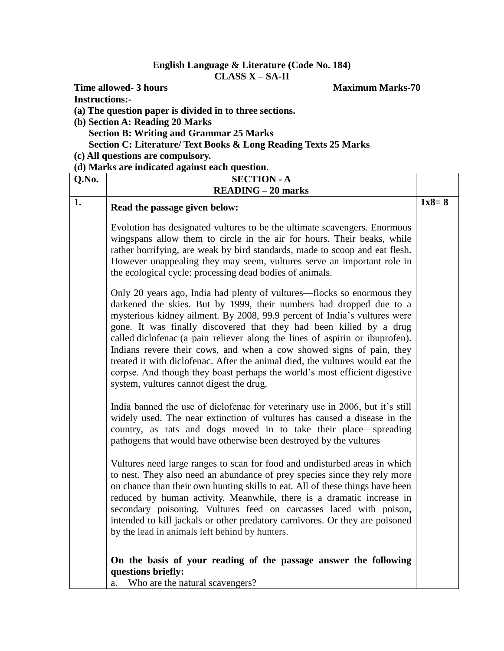## **English Language & Literature (Code No. 184) CLASS X – SA-II**

**Instructions:-**

**(a) The question paper is divided in to three sections.**

- **(b) Section A: Reading 20 Marks Section B: Writing and Grammar 25 Marks Section C: Literature/ Text Books & Long Reading Texts 25 Marks**
- **(c) All questions are compulsory.**

## **(d) Marks are indicated against each question**.

| Q.No. | <b>SECTION - A</b>                                                                                                                                                                                                                                                                                                                                                                                                                                                                                                                                                                                                                                                    |         |  |
|-------|-----------------------------------------------------------------------------------------------------------------------------------------------------------------------------------------------------------------------------------------------------------------------------------------------------------------------------------------------------------------------------------------------------------------------------------------------------------------------------------------------------------------------------------------------------------------------------------------------------------------------------------------------------------------------|---------|--|
|       | <b>READING - 20 marks</b>                                                                                                                                                                                                                                                                                                                                                                                                                                                                                                                                                                                                                                             |         |  |
| 1.    | Read the passage given below:                                                                                                                                                                                                                                                                                                                                                                                                                                                                                                                                                                                                                                         | $1x8=8$ |  |
|       | Evolution has designated vultures to be the ultimate scavengers. Enormous<br>wingspans allow them to circle in the air for hours. Their beaks, while<br>rather horrifying, are weak by bird standards, made to scoop and eat flesh.<br>However unappealing they may seem, vultures serve an important role in<br>the ecological cycle: processing dead bodies of animals.                                                                                                                                                                                                                                                                                             |         |  |
|       | Only 20 years ago, India had plenty of vultures—flocks so enormous they<br>darkened the skies. But by 1999, their numbers had dropped due to a<br>mysterious kidney ailment. By 2008, 99.9 percent of India's vultures were<br>gone. It was finally discovered that they had been killed by a drug<br>called diclofenac (a pain reliever along the lines of aspirin or ibuprofen).<br>Indians revere their cows, and when a cow showed signs of pain, they<br>treated it with diclofenac. After the animal died, the vultures would eat the<br>corpse. And though they boast perhaps the world's most efficient digestive<br>system, vultures cannot digest the drug. |         |  |
|       | India banned the use of diclofenac for veterinary use in 2006, but it's still<br>widely used. The near extinction of vultures has caused a disease in the<br>country, as rats and dogs moved in to take their place—spreading<br>pathogens that would have otherwise been destroyed by the vultures                                                                                                                                                                                                                                                                                                                                                                   |         |  |
|       | Vultures need large ranges to scan for food and undisturbed areas in which<br>to nest. They also need an abundance of prey species since they rely more<br>on chance than their own hunting skills to eat. All of these things have been<br>reduced by human activity. Meanwhile, there is a dramatic increase in<br>secondary poisoning. Vultures feed on carcasses laced with poison,<br>intended to kill jackals or other predatory carnivores. Or they are poisoned<br>by the lead in animals left behind by hunters.                                                                                                                                             |         |  |
|       | On the basis of your reading of the passage answer the following<br>questions briefly:<br>a. Who are the natural scavengers?                                                                                                                                                                                                                                                                                                                                                                                                                                                                                                                                          |         |  |

**Time allowed- 3 hours** Maximum Marks-70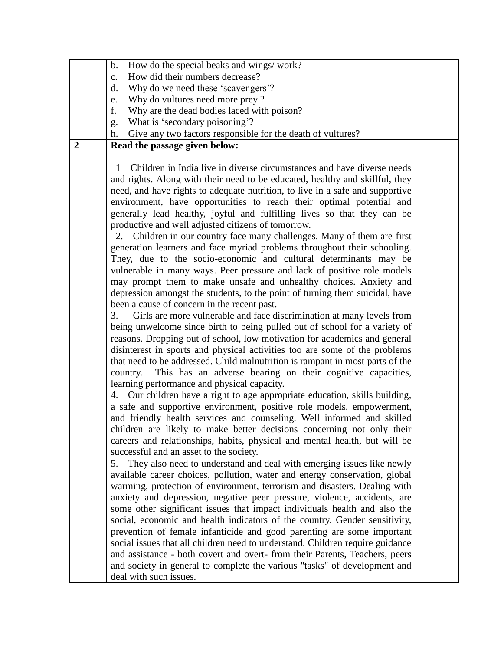|                | How do the special beaks and wings/work?<br>$\mathbf b$ .                                                                                                                                                                                                                                                                                                                                                                                                                                                                                                                                                                                                                                                                                                                                                                                                                                                                                                                                                                                                                                                                                                                                                                                                                                                                                                                                                                                                                                                                                                                                                                                                                                                                                                                                                                                                                                                                                                                                                                                                                                                                                                                                                                                                                                                                                                                                                                                                                                                                                                                                                                                                                                                |  |
|----------------|----------------------------------------------------------------------------------------------------------------------------------------------------------------------------------------------------------------------------------------------------------------------------------------------------------------------------------------------------------------------------------------------------------------------------------------------------------------------------------------------------------------------------------------------------------------------------------------------------------------------------------------------------------------------------------------------------------------------------------------------------------------------------------------------------------------------------------------------------------------------------------------------------------------------------------------------------------------------------------------------------------------------------------------------------------------------------------------------------------------------------------------------------------------------------------------------------------------------------------------------------------------------------------------------------------------------------------------------------------------------------------------------------------------------------------------------------------------------------------------------------------------------------------------------------------------------------------------------------------------------------------------------------------------------------------------------------------------------------------------------------------------------------------------------------------------------------------------------------------------------------------------------------------------------------------------------------------------------------------------------------------------------------------------------------------------------------------------------------------------------------------------------------------------------------------------------------------------------------------------------------------------------------------------------------------------------------------------------------------------------------------------------------------------------------------------------------------------------------------------------------------------------------------------------------------------------------------------------------------------------------------------------------------------------------------------------------------|--|
|                | How did their numbers decrease?<br>$C_{\bullet}$                                                                                                                                                                                                                                                                                                                                                                                                                                                                                                                                                                                                                                                                                                                                                                                                                                                                                                                                                                                                                                                                                                                                                                                                                                                                                                                                                                                                                                                                                                                                                                                                                                                                                                                                                                                                                                                                                                                                                                                                                                                                                                                                                                                                                                                                                                                                                                                                                                                                                                                                                                                                                                                         |  |
|                | Why do we need these 'scavengers'?<br>d.                                                                                                                                                                                                                                                                                                                                                                                                                                                                                                                                                                                                                                                                                                                                                                                                                                                                                                                                                                                                                                                                                                                                                                                                                                                                                                                                                                                                                                                                                                                                                                                                                                                                                                                                                                                                                                                                                                                                                                                                                                                                                                                                                                                                                                                                                                                                                                                                                                                                                                                                                                                                                                                                 |  |
|                |                                                                                                                                                                                                                                                                                                                                                                                                                                                                                                                                                                                                                                                                                                                                                                                                                                                                                                                                                                                                                                                                                                                                                                                                                                                                                                                                                                                                                                                                                                                                                                                                                                                                                                                                                                                                                                                                                                                                                                                                                                                                                                                                                                                                                                                                                                                                                                                                                                                                                                                                                                                                                                                                                                          |  |
|                | Why do vultures need more prey?<br>e.                                                                                                                                                                                                                                                                                                                                                                                                                                                                                                                                                                                                                                                                                                                                                                                                                                                                                                                                                                                                                                                                                                                                                                                                                                                                                                                                                                                                                                                                                                                                                                                                                                                                                                                                                                                                                                                                                                                                                                                                                                                                                                                                                                                                                                                                                                                                                                                                                                                                                                                                                                                                                                                                    |  |
|                | f.<br>Why are the dead bodies laced with poison?                                                                                                                                                                                                                                                                                                                                                                                                                                                                                                                                                                                                                                                                                                                                                                                                                                                                                                                                                                                                                                                                                                                                                                                                                                                                                                                                                                                                                                                                                                                                                                                                                                                                                                                                                                                                                                                                                                                                                                                                                                                                                                                                                                                                                                                                                                                                                                                                                                                                                                                                                                                                                                                         |  |
|                | What is 'secondary poisoning'?<br>g.                                                                                                                                                                                                                                                                                                                                                                                                                                                                                                                                                                                                                                                                                                                                                                                                                                                                                                                                                                                                                                                                                                                                                                                                                                                                                                                                                                                                                                                                                                                                                                                                                                                                                                                                                                                                                                                                                                                                                                                                                                                                                                                                                                                                                                                                                                                                                                                                                                                                                                                                                                                                                                                                     |  |
|                | Give any two factors responsible for the death of vultures?<br>h.                                                                                                                                                                                                                                                                                                                                                                                                                                                                                                                                                                                                                                                                                                                                                                                                                                                                                                                                                                                                                                                                                                                                                                                                                                                                                                                                                                                                                                                                                                                                                                                                                                                                                                                                                                                                                                                                                                                                                                                                                                                                                                                                                                                                                                                                                                                                                                                                                                                                                                                                                                                                                                        |  |
|                |                                                                                                                                                                                                                                                                                                                                                                                                                                                                                                                                                                                                                                                                                                                                                                                                                                                                                                                                                                                                                                                                                                                                                                                                                                                                                                                                                                                                                                                                                                                                                                                                                                                                                                                                                                                                                                                                                                                                                                                                                                                                                                                                                                                                                                                                                                                                                                                                                                                                                                                                                                                                                                                                                                          |  |
| $\overline{2}$ | Read the passage given below:<br>Children in India live in diverse circumstances and have diverse needs<br>1<br>and rights. Along with their need to be educated, healthy and skillful, they<br>need, and have rights to adequate nutrition, to live in a safe and supportive<br>environment, have opportunities to reach their optimal potential and<br>generally lead healthy, joyful and fulfilling lives so that they can be<br>productive and well adjusted citizens of tomorrow.<br>Children in our country face many challenges. Many of them are first<br>2.<br>generation learners and face myriad problems throughout their schooling.<br>They, due to the socio-economic and cultural determinants may be<br>vulnerable in many ways. Peer pressure and lack of positive role models<br>may prompt them to make unsafe and unhealthy choices. Anxiety and<br>depression amongst the students, to the point of turning them suicidal, have<br>been a cause of concern in the recent past.<br>Girls are more vulnerable and face discrimination at many levels from<br>3.<br>being unwelcome since birth to being pulled out of school for a variety of<br>reasons. Dropping out of school, low motivation for academics and general<br>disinterest in sports and physical activities too are some of the problems<br>that need to be addressed. Child malnutrition is rampant in most parts of the<br>This has an adverse bearing on their cognitive capacities,<br>country.<br>learning performance and physical capacity.<br>Our children have a right to age appropriate education, skills building,<br>4.<br>a safe and supportive environment, positive role models, empowerment,<br>and friendly health services and counseling. Well informed and skilled<br>children are likely to make better decisions concerning not only their<br>careers and relationships, habits, physical and mental health, but will be<br>successful and an asset to the society.<br>They also need to understand and deal with emerging issues like newly<br>5.<br>available career choices, pollution, water and energy conservation, global<br>warming, protection of environment, terrorism and disasters. Dealing with<br>anxiety and depression, negative peer pressure, violence, accidents, are<br>some other significant issues that impact individuals health and also the<br>social, economic and health indicators of the country. Gender sensitivity,<br>prevention of female infanticide and good parenting are some important<br>social issues that all children need to understand. Children require guidance<br>and assistance - both covert and overt- from their Parents, Teachers, peers |  |
|                | and society in general to complete the various "tasks" of development and<br>deal with such issues.                                                                                                                                                                                                                                                                                                                                                                                                                                                                                                                                                                                                                                                                                                                                                                                                                                                                                                                                                                                                                                                                                                                                                                                                                                                                                                                                                                                                                                                                                                                                                                                                                                                                                                                                                                                                                                                                                                                                                                                                                                                                                                                                                                                                                                                                                                                                                                                                                                                                                                                                                                                                      |  |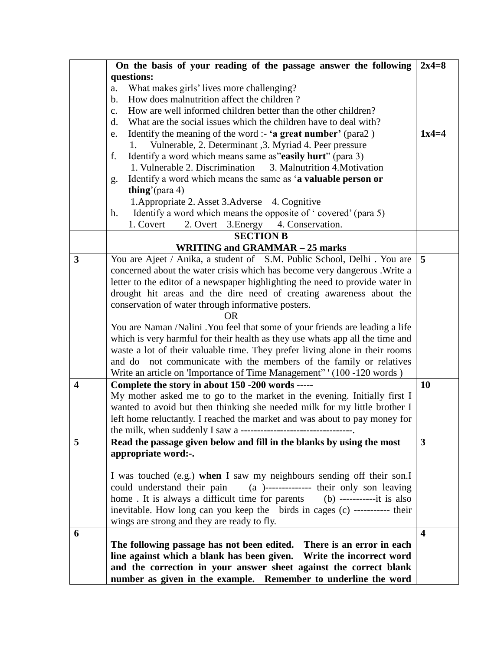|                         | On the basis of your reading of the passage answer the following                 | $2x4=8$                 |  |  |
|-------------------------|----------------------------------------------------------------------------------|-------------------------|--|--|
|                         | questions:                                                                       |                         |  |  |
|                         | What makes girls' lives more challenging?<br>a.                                  |                         |  |  |
|                         | How does malnutrition affect the children?<br>$\mathbf b$ .                      |                         |  |  |
|                         | How are well informed children better than the other children?<br>$\mathbf{c}$ . |                         |  |  |
|                         | What are the social issues which the children have to deal with?<br>d.           |                         |  |  |
|                         | Identify the meaning of the word :- 'a great number' (para2)<br>e.               | $1x4=4$                 |  |  |
|                         | Vulnerable, 2. Determinant , 3. Myriad 4. Peer pressure<br>1.                    |                         |  |  |
|                         | Identify a word which means same as"easily hurt" (para 3)<br>f.                  |                         |  |  |
|                         | 1. Vulnerable 2. Discrimination<br>3. Malnutrition 4. Motivation                 |                         |  |  |
|                         | Identify a word which means the same as 'a valuable person or<br>g.              |                         |  |  |
|                         | thing'(para 4)                                                                   |                         |  |  |
|                         | 1. Appropriate 2. Asset 3. Adverse 4. Cognitive                                  |                         |  |  |
|                         | Identify a word which means the opposite of 'covered' (para 5)<br>h.             |                         |  |  |
|                         | 1. Covert<br>2. Overt 3. Energy 4. Conservation.                                 |                         |  |  |
|                         | <b>SECTION B</b>                                                                 |                         |  |  |
|                         | <b>WRITING and GRAMMAR - 25 marks</b>                                            |                         |  |  |
| 3                       | You are Ajeet / Anika, a student of S.M. Public School, Delhi. You are           | 5                       |  |  |
|                         | concerned about the water crisis which has become very dangerous. Write a        |                         |  |  |
|                         | letter to the editor of a newspaper highlighting the need to provide water in    |                         |  |  |
|                         | drought hit areas and the dire need of creating awareness about the              |                         |  |  |
|                         | conservation of water through informative posters.                               |                         |  |  |
|                         | <b>OR</b>                                                                        |                         |  |  |
|                         | You are Naman /Nalini . You feel that some of your friends are leading a life    |                         |  |  |
|                         | which is very harmful for their health as they use whats app all the time and    |                         |  |  |
|                         | waste a lot of their valuable time. They prefer living alone in their rooms      |                         |  |  |
|                         | and do not communicate with the members of the family or relatives               |                         |  |  |
|                         | Write an article on 'Importance of Time Management'' (100 -120 words)            |                         |  |  |
| $\overline{\mathbf{4}}$ | Complete the story in about 150 -200 words -----                                 | 10                      |  |  |
|                         | My mother asked me to go to the market in the evening. Initially first I         |                         |  |  |
|                         | wanted to avoid but then thinking she needed milk for my little brother I        |                         |  |  |
|                         | left home reluctantly. I reached the market and was about to pay money for       |                         |  |  |
|                         |                                                                                  |                         |  |  |
| 5                       | Read the passage given below and fill in the blanks by using the most            | 3                       |  |  |
|                         | appropriate word:-.                                                              |                         |  |  |
|                         |                                                                                  |                         |  |  |
|                         | I was touched (e.g.) when I saw my neighbours sending off their son.I            |                         |  |  |
|                         | could understand their pain (a)-------------- their only son leaving             |                         |  |  |
|                         |                                                                                  |                         |  |  |
|                         | inevitable. How long can you keep the birds in cages (c) ----------- their       |                         |  |  |
|                         | wings are strong and they are ready to fly.                                      |                         |  |  |
| 6                       |                                                                                  | $\overline{\mathbf{4}}$ |  |  |
|                         | The following passage has not been edited. There is an error in each             |                         |  |  |
|                         | line against which a blank has been given. Write the incorrect word              |                         |  |  |
|                         | and the correction in your answer sheet against the correct blank                |                         |  |  |
|                         | number as given in the example. Remember to underline the word                   |                         |  |  |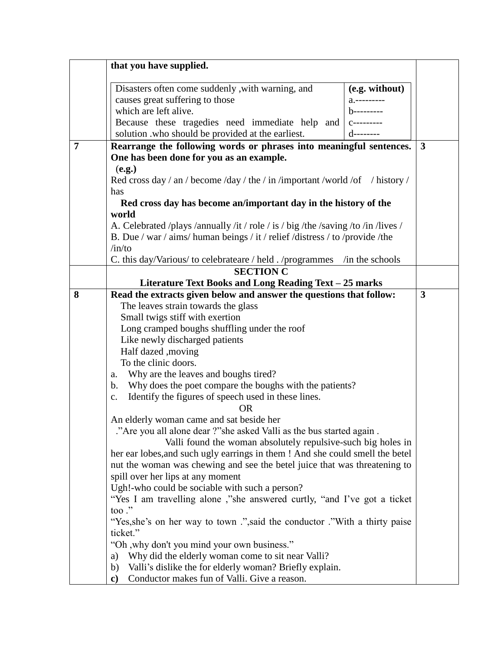|   | that you have supplied.                                                                                         |                           |              |
|---|-----------------------------------------------------------------------------------------------------------------|---------------------------|--------------|
|   |                                                                                                                 |                           |              |
|   | Disasters often come suddenly , with warning, and                                                               | (e.g. without)            |              |
|   | causes great suffering to those<br>which are left alive.                                                        |                           |              |
|   |                                                                                                                 |                           |              |
|   | Because these tragedies need immediate help and<br>solution .who should be provided at the earliest.            | $C$ -----<br>$d$ -------- |              |
| 7 |                                                                                                                 |                           |              |
|   | Rearrange the following words or phrases into meaningful sentences.<br>One has been done for you as an example. |                           | $\mathbf{3}$ |
|   |                                                                                                                 |                           |              |
|   | (e.g.)<br>Red cross day / an / become /day / the / in /important /world /of / history /                         |                           |              |
|   | has                                                                                                             |                           |              |
|   | Red cross day has become an/important day in the history of the                                                 |                           |              |
|   | world                                                                                                           |                           |              |
|   | A. Celebrated /plays /annually /it / role / is / big /the /saving /to /in /lives /                              |                           |              |
|   | B. Due / war / aims/ human beings / it / relief /distress / to /provide /the                                    |                           |              |
|   | /in/to                                                                                                          |                           |              |
|   | C. this day/Various/to celebrateare / held . /programmes                                                        | in the schools            |              |
|   | <b>SECTION C</b>                                                                                                |                           |              |
|   | Literature Text Books and Long Reading Text - 25 marks                                                          |                           |              |
| 8 | Read the extracts given below and answer the questions that follow:                                             |                           | $\mathbf{3}$ |
|   | The leaves strain towards the glass                                                                             |                           |              |
|   | Small twigs stiff with exertion                                                                                 |                           |              |
|   | Long cramped boughs shuffling under the roof                                                                    |                           |              |
|   | Like newly discharged patients                                                                                  |                           |              |
|   | Half dazed , moving                                                                                             |                           |              |
|   | To the clinic doors.                                                                                            |                           |              |
|   | Why are the leaves and boughs tired?<br>a.                                                                      |                           |              |
|   | Why does the poet compare the boughs with the patients?<br>b.                                                   |                           |              |
|   | Identify the figures of speech used in these lines.<br>$\mathbf{C}$ .                                           |                           |              |
|   | 0 <sub>R</sub>                                                                                                  |                           |              |
|   | An elderly woman came and sat beside her                                                                        |                           |              |
|   | ."Are you all alone dear ?"she asked Valli as the bus started again.                                            |                           |              |
|   | Valli found the woman absolutely repulsive-such big holes in                                                    |                           |              |
|   | her ear lobes, and such ugly earrings in them ! And she could smell the betel                                   |                           |              |
|   | nut the woman was chewing and see the betel juice that was threatening to                                       |                           |              |
|   | spill over her lips at any moment                                                                               |                           |              |
|   | Ugh!-who could be sociable with such a person?                                                                  |                           |              |
|   | "Yes I am travelling alone," she answered curtly, "and I've got a ticket"<br>too $\cdot$ "                      |                           |              |
|   | "Yes, she's on her way to town .", said the conductor ."With a thirty paise                                     |                           |              |
|   | ticket."                                                                                                        |                           |              |
|   | "Oh, why don't you mind your own business."                                                                     |                           |              |
|   | Why did the elderly woman come to sit near Valli?<br>a)                                                         |                           |              |
|   | Valli's dislike the for elderly woman? Briefly explain.<br>b)                                                   |                           |              |
|   | Conductor makes fun of Valli. Give a reason.<br>$\mathbf{c}$                                                    |                           |              |